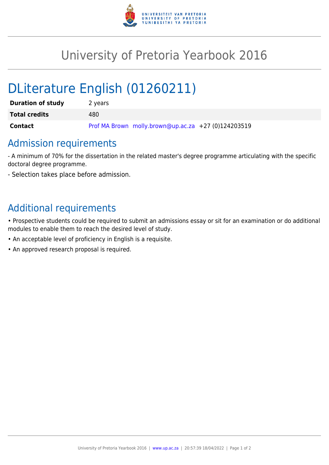

## University of Pretoria Yearbook 2016

# DLiterature English (01260211)

| <b>Duration of study</b> | 2 years                                             |
|--------------------------|-----------------------------------------------------|
| <b>Total credits</b>     | 480.                                                |
| <b>Contact</b>           | Prof MA Brown molly.brown@up.ac.za +27 (0)124203519 |

## Admission requirements

- A minimum of 70% for the dissertation in the related master's degree programme articulating with the specific doctoral degree programme.

- Selection takes place before admission.

## Additional requirements

• Prospective students could be required to submit an admissions essay or sit for an examination or do additional modules to enable them to reach the desired level of study.

- An acceptable level of proficiency in English is a requisite.
- An approved research proposal is required.